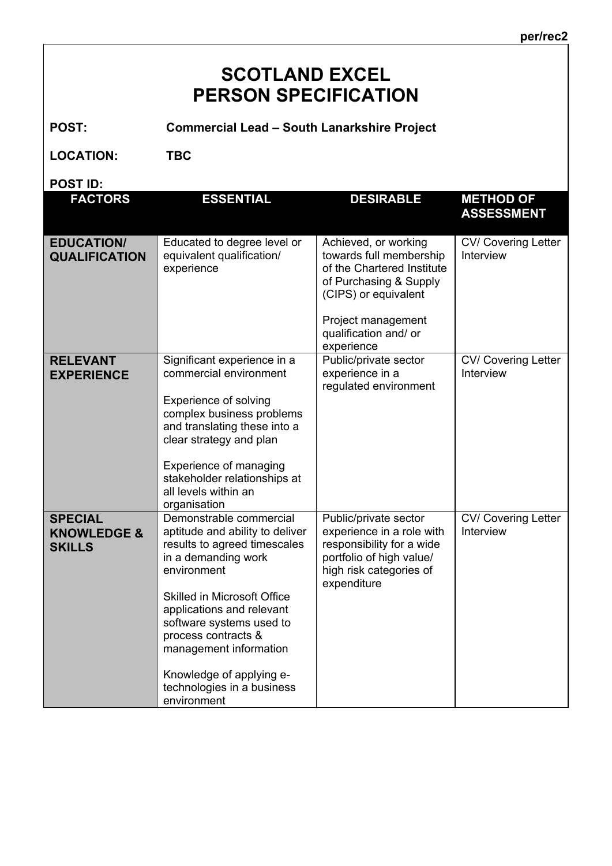## **SCOTLAND EXCEL PERSON SPECIFICATION**

**POST: Commercial Lead – South Lanarkshire Project**

**LOCATION: TBC**

**POST ID:** 

| עו וטט.                                                   |                                                                                                                                                                                                                                                                                                                                                           |                                                                                                                                                                                              |                                         |
|-----------------------------------------------------------|-----------------------------------------------------------------------------------------------------------------------------------------------------------------------------------------------------------------------------------------------------------------------------------------------------------------------------------------------------------|----------------------------------------------------------------------------------------------------------------------------------------------------------------------------------------------|-----------------------------------------|
| <b>FACTORS</b>                                            | <b>ESSENTIAL</b>                                                                                                                                                                                                                                                                                                                                          | <b>DESIRABLE</b>                                                                                                                                                                             | <b>METHOD OF</b><br><b>ASSESSMENT</b>   |
| <b>EDUCATION/</b><br><b>QUALIFICATION</b>                 | Educated to degree level or<br>equivalent qualification/<br>experience                                                                                                                                                                                                                                                                                    | Achieved, or working<br>towards full membership<br>of the Chartered Institute<br>of Purchasing & Supply<br>(CIPS) or equivalent<br>Project management<br>qualification and/ or<br>experience | <b>CV/ Covering Letter</b><br>Interview |
| <b>RELEVANT</b><br><b>EXPERIENCE</b>                      | Significant experience in a<br>commercial environment<br>Experience of solving<br>complex business problems<br>and translating these into a<br>clear strategy and plan<br>Experience of managing<br>stakeholder relationships at<br>all levels within an<br>organisation                                                                                  | Public/private sector<br>experience in a<br>regulated environment                                                                                                                            | CV/ Covering Letter<br>Interview        |
| <b>SPECIAL</b><br><b>KNOWLEDGE &amp;</b><br><b>SKILLS</b> | Demonstrable commercial<br>aptitude and ability to deliver<br>results to agreed timescales<br>in a demanding work<br>environment<br><b>Skilled in Microsoft Office</b><br>applications and relevant<br>software systems used to<br>process contracts &<br>management information<br>Knowledge of applying e-<br>technologies in a business<br>environment | Public/private sector<br>experience in a role with<br>responsibility for a wide<br>portfolio of high value/<br>high risk categories of<br>expenditure                                        | <b>CV/ Covering Letter</b><br>Interview |